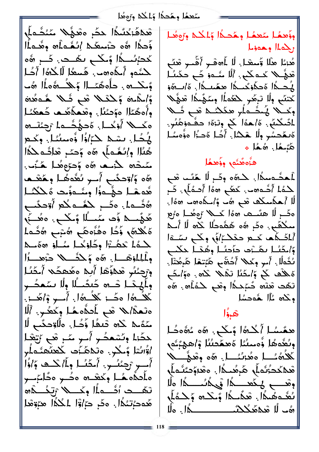محمد وهجاه والمحا وزوها

هْدَفَنِكْنُدًا حَضّ هِ هُوَلًا سَنُدُهِلِّ وَّحِجًا هُو حَبْعِظِهِ إِنْهُءِلَمِ وِهُـومًا كَحَرُسُــدًا وُـكَـــ بعُـــت. ضَــر هُ٥ لْمُشُومِ أَبْكُوهِ ۖ. فَسِعُلَ لَا كُلُّهُ لَ أَحُـلَ وُكْتُ: دَاْهِقَنَّا الْإِيْجَاءُ وَالْمُ الْهَمَا فَا وَٱلْمُدة وَلِحْلَمَا ۚ تَعَمَّ شَكًّا ۖ هُـُءَهُدَة وأُهِقَّمَّالَ هَوِّصْنُلْ. وِتَعْمَلُاَهُمْ كَمْعَنَّالُ ەڭىلا أَوْجْبا. ەُجۇھُــوا رْجِسْــو لْمُحَالِ بِشِيمَ جَزَارُوا وُوْمِيتُنَالِ وِجُحِر هُنُاا وِإِنْغُمِلُ ۞ه وَحِبْ هَاشُمِكُمَّا مَمْدُه ۖ لأَمِـ هُ وَحَوَّوهُ ۖ مَّنُوبٌ ۚ هُه وُاوْحكُب أُسو تُعْدَهُا وِهَعْــم هُدهْـا حذَّـدؤا ومُسْدؤُمت هُكْكُـا ھُڞٞڡڶ؞ڡڞؙڔۦٮڵڡۘٞ؎ٮۢڵڡ؆ٞۊڂۺؠ هَٰذُهُــدُ وَّد مَّمَــلُّا وَّمَكَــبٍ. ٥هُـــَنِّه ەُلْكْلُارْ وُخُدْ مُفْتُوهُمْ لِلْمُتْهِمْ لِلْمُشْمَاءِ لحسه المحكثو وكلوجا مسلو ومتحكم وِلْمَلْمَوْقَعِيلَ. وَهُو وَجِحْفُكُمْ حَرْمَدِيدُا وْرَحِنُنُو هَٰدُوْهَا أَبِهِ مَعْجَدٌ أَحَكُنَا وِلۡهَـٰـٰہٗ شَـٰٰهٗ ضَثَّـٰلًا وِلَٰا سَمْعَـٰـٰـڔ كْلُّدْهَا هَكَ: كَلُّسْهَا. أَسِرٍ وْاهْدَ. ەتمكاللا تىم مُحدُّدىمُا وكَعُصِ. ٱلْأَ مَدَّم كَلَّاه قَبْعًا وَّكُلْ: وَلَّاوَّدَكُنَّ لَّا حكَّنا وتَشعكُو أُسو مَّا هُم رَّتِهْا ُاوُّالُمْا وُحِكْرٍ. ٥لْكَلاَكْتَ كَلْعَلَىْقَدَاْرِ أُسِـرِ رَحِنُسُـرٍ. أَمكَسُـا وِلَمُ/كَــْ وَاوُّاً ەلمكەن كىلى باينى مەن ئۇناغ بىلىر تَھَــد اُئُــداًا وِكَــلا رَبّكُــدُه هُددېُتندُا. وکَرِ دَبُاوْٓا لمکْدُا همْوْهَا

وؤهما متعمل ومطار وللكل وزوها أريحه المكرر هُٰزِيُا هِلَا وُّسِعْدَا. لَا لَمُهفَى أَفُّسِ هُنِّي هَؤُلًا كُنْدَكُمْ. أَلَّا مُنْدَوْكُمْ حَكْسًا لِمُحِيكًا ةَحِكَّوْكُمِيكًا هِمَّىلِكًا. ةَ/سَبَّةُوْ كتسَّع وأَلا تَبِعُوا كَعُماً أَ وَسُهَّدُا هَوَيْكَلَا وكَـــلا نُهشَـــه مُركْسُـــد شَـــح شَـــلا لمَّكْتَبُ. هُ/ههُ/ كُمْ وِنْزَهُ! هِقُوهُنُو. كَانْفَجْسُنِ وَلَا تَقْتُمُلْ. أَجُبًا كَجَبًّا دَوّْدَسُنَا كَبْسُهْلِ. شَهْلُ \* فأوهُنُه ووُهمُا أَحدُّےممكُّا. كَلاَّه وِكْرِ لَّا هَنَّب شَي لِكُمَا أَشُوهِ ، كَعَبِ هِوَا أَصَوَٰلَهِ. كَبِ لَّا أَهْلُمْمَكُفْ ثَنِي رَهُمْ وَٱسْلَاهِ مَاهَ الْمَالِ ەكْبِر لَا ھسُىھە ھەل كىلا رُوھُىل ەرُم سَكْفُبٍ. وَكَرٍ رُّهُو كَعَفُوطًا كَلَّهُ لَّا أَسْلَا أَلْمَكْلُم كُلُّمْ حَكْثَرُافُي وِكْلِّ سَنْدَا وَأَحْتُلَ بِمَنْءَبِ جَرَجَنَا وَهُجْلَ جَكْبٍ ىُثْمَلًا. آُسِ وِكَمْ آُحُقُّ هُبْتَـهَا هُبِعُتْاً. ەْللُك كُمْ وَٱسْتُنَا نْݣُلْا ݣُلُو. ەوَّٱسْتُم تَعُد مْنْه حُبُدْدًا وِمْعِ حَدُاْهِ. هُه إوكاه عْلَا هُءْدْسُل چ<br>دفع همُسُل أَكْدُا وُكُم. ۞ه مُؤْوطُل وِيُعْمِعُا وُّمِينُا هُجِمْعِيْنَا وَاهِجْبُمْم كَلاُهُ ـُـــا هِ هُدَنُـُـــا. هُه وِ هُدُوْـــــلا ِّعْكَكْرَنَّدَىلُو هُرِهُنَــدًا . وَهْرَوِّحَنَ*نَّـمَـلُ*و وقعب لمُ تَمْسِيلُهِ فَيَحْمَدُ الْمُسْسَمَّا وَالْمُ ىُعْدِمُماً. مْكَسْلًا وُحْدُه وَحْدُبًا هُ لا مْدْهَكْكْتْـــــــــــــــدْ الْمَ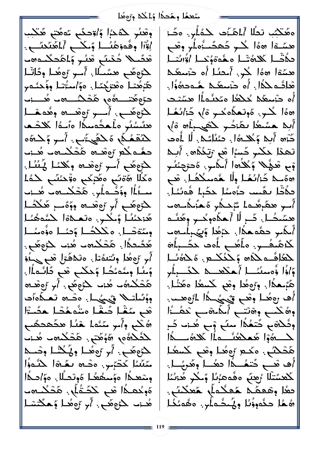مفعمل وهجاه وللكه وزوها

وَهْلُو لَكُمْرُا وُاوْحِكُم عُمْقَتِي هُنْجَب إَوْٓٱا وِهُووَهُنُــا وُلِكْــو ٱلمُعَنَّخَفَــو . هَثَمِيلًا خُمْسًى هَنُو وَلِمَحَكْمُوهَا كْرُوهُــمْ هِـنَىـْـلَا. أُسـر رُوهُــا وِدَّاتْـا هُزِهُمْا وَهُتِرِكْمُا. وَوُاستُمْا وِؤُحِمْو حرّەكتتىدۇە ، ھُڪكىسەت كېسىزما كْرُوهُبِ. أُسِيرِ رُوهْسِهِ وِهُدَهْسا هنِّمْسُو وَاْهِدُومُمَدًّا وَٱحْدَا لَلاَتْبِ لْمَنْقَمُكُمْ هَ لِمَشْيَبِّبٍ. أَسِرٍ وَلِكَنَّهُ هَ حَقَّـه كُمْ رُوْهَــْ هُـصْكَــْـهَـٰ هُــزَـٰ لأوهَّى أُسر رُوهْده وكُلّْمُا لَيُسُلُّ. دَعُلَا هَوْمًا وَهُوَكُمْ وَقَدْمَنَى لَهُمَا مسألُما وَوَّضُــٰہ/و. هُـثـُـُـــــوما هُـــزما لْكُوهُـــ أُبْرِ رُوهْـــه وِوَّهُــــر هَٰكُكُـــا هُزِّدْنُـٰلُ وُٓىـكُــُـوِ . وتَـمَــلاةَا ۖ لَكَنُوهُـُـٰلَ ومَّةحْــا. • تَكْحُــا وَحَيَّـا •وُومْــا ھَڞٞحڴا. ھَڪَػٚٮ؈ ھُڹٮۦڂٶؘۿؠ. أُم رُوهُا وِتُنفُمْا. ونَكلُفُوْلُ هُم حِداُوْ وۡنُا ۖ وِمَدۡدُكُم ۖ وَحِكۡب ۚ هَـٰ ۖ دَّائُـٰہِ)ٰٓا ۖ. كَتْݣُمُوم هُزم كْرُوهُم. أَبْر رُوهْدُه ووُتَىلْتَىلًا وَيُحِيُّماً. ەتْـە تْـمـكەرَە هْمِ مَغْلًا دُنْهَا مِتُوهُدًا حَدَّبْ! هُكُم وأُس مُنُها هَنَا هكُعجعُب لْمُفَلَّاثُهُ مِنْ أَوْلَانِهِ . هُصْلُدُوم هُدَيْت للخوهُبِ. أَبِر رُوهُما ولَيُكْتُما وصْلا مَكْتُمُا كَتْزَىبٍ. ەتْ10 بْغَاۋَا جْشُەؤُا وعصداً ووَسِعُعُدا وَوِتَصَلّاً. ووَّاصِدًا ەُوٖىُـٰڡـدا شَــ ێػـتَّەلُّل. ھَـتَـُـلــەت هُدند ۖ لِكَوْهُم ﴾ أَبْرَ رُوهُما وَحَقَّتْسًا

هَعَنْكُبُ نَطَا ٱلْمَنَّوَدِ لِلْمُلَٰوِرِ. وَضَرَ همَّـةا هؤا كُبِ خُهجَــزُّهِلُرِ وِقَبِ حكْتُما كَلاهُتْما مِمُّوَوِّجْما اوُّائْمَا همّةا هذا كُرِ. أَحنُا أَه حَزْمَهُمْ هْلِصُدْمَلاً فِي أَوْ حَزْمِيهِكُمْ حُمْدِدِهُوَّلْ. أه حزمكم حُلْطُل مَحْشَماً! همَّتْت ادَهُ الْكُبْرِ. هُوِتْعَدُّدَكْسِرْ هَالْا خَالَقُكُمْ أبِهِ مِسْعُدُ بِمُنْدِ لِحَقِيبٍ أَمِنَ مِنْ كَنْزُوهِ أَبِيهِ وَكُلَّهُ أَ. حَيْئُلْهُمْ. لَا لِمُوجَ تَعْدَا حَكْسٍ حُسْرًا هُمْ رَبِّخُكُلُهُ ﴾ أَبِيدًا أَوْمٍ هُؤُلًا وَلَكُوا أَمَلُسٍ. هُجَرْجِئْسُو هِهَمِيهِ جَزَابُهُما وِلًا هُومِيكُفُ). هَي حكْتْل بِعُيب جزُّومُا حَجَّا فُونُمْلَ. أسو هكَبِشَـما مُبْسَلُو هَعْبَـدُمــه هسَّىكَ). كَج لَّا أَحْكُوهِكْتِرِ وِهَنَّد أَسكُس حقَّه هدًا. حَرْهُا وَيَجْ أَصْرَفَ |گَلاهُـڤــو. مأهُــع ـأەت حَصَّـبِلُهَ لْمَعَلَّفُ عِيدًا وَ لِلْكُلِّي مِنْ مَكْمَى الْمَرْكَبَ وَّادًا وَّەمىنُسَا أَهلَاھ كَلَّى جِلُّرٍ |هَبْعِمَالِ وَرُوهُا وِتْعِ كَسْعُا وَهْتَالِ أَه روهُــا وهَــم وَيُحِيُّــهُا لِمُوَهــب. وَهُكُم وَهْتَمْ أَمَكْمُوهُ عَاهَمَ وَالْمَسْمَدُوا وِثَلاَةَ ۖ تَتَعُذُا مِنَّعٍ ثَمِّ شَنَّ ثَمِّ لَكَ وَوَا هُمْ حَمْدُ الْمَحْدَثُ الْمَحْدَثُ الْمَحْدَثَ هَدْكُمْ. مَكْمْ رُوهُمْ وَهُمْ كَلْمَعْدَ أُفْ هُــــمْ خُتْهُـــدًا حَعُـــا وِهُوبُـــا. لْكَعِنْتُلَا رُهِبُم وفُوعَبُنُا وُحكُو هُزَنُنَا دهُا وِهْدِهَٰدْ هُدْدُهِ)ْ هُعْكُنَّىْ. هُهُا حِذْهِ وَزُلًا وِيُحَدُّدِيَّا وَهُدَخُلًا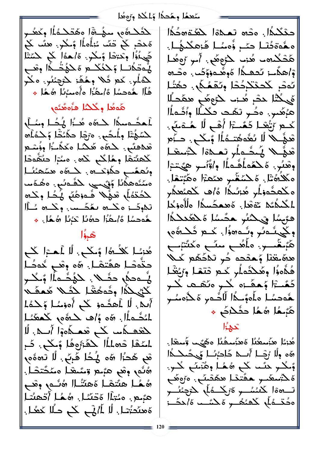مَعْمَا وِهَدِدًا وَلِمُكُمْ وَوَهِدًا

لمَثْلُثُ وَمِنْ سَوْرَةَ وَمُقَتَّلَهُ أَلَّا وَكُعُب ەُحتْرِ كُمْ تْنُد مُرْأُه أُلِّ وُحكْرٍ. هنّد كُمْ كَهِدَٰوٗا وِكْتِرْدَا وَمِكْرٍ. هُ/هِهُ! كُمْ كَمَنْتَا لْمُعَصِّلًا لَمُ حُكُكُم هَ حُكُمُّتُ هُ! وَهَب لْحَمْلُو. كُمْ قُلْا وِهُكَّوْ لْمُؤْتِمُلُو. 2ْكُو فْأَا هُدْمِسُا دُاْمِكْرَا دَاْدِمْرُنَا شَهْا ﴾ هُوهُا وِكُكُمْ فُوْهُنُور لْمَشْـٰمِندُا لِـْـهُء هُــٰٓا لِّـُـَّـا مِنْـَلْ لكَنْكُتْلَ وِلُمُحَّى ِ. وَرْضًا حَكَنْتُنَا وَكَدَلَّاهِ قدهنّي. حدّةُه هُڪا هکدُنُّا وؤُسْع كْهَتَنْهَا وِهُاكُم كُلُّه . مِنْزَا حَنُقُودًا وِنُعمَّى حِكْوْنَدِدَ . كِلْوَه مِنْتَقِيْدًا مَمُنُّەھِكُ*انَا وَفَيُّسِي حَ*فُّےنُم مَشَّامِد لحكُتْمُلُّ شَوْبُكُمْ فُءِمُبُمْ لَمُكُمْ وِكْلُو تكوكَــز ه كْـــر مكْــَــب و بْـــر مْــأَا هُوصِمُل وُٱمكُرَٰل حِيهُ لَل كَرُبُلِ هُهُلٍ. \* <u>شهٔ ا</u>

هُزئِــا كَلَــٰهُا وُحَكّــبِ. لَا عُـمــْ: كَــح حِنْهُدًا هفُتمْا. هُو وِهْـعٍ مُوحُـا لُّےحكَّى حثَّىلاً : حَكُمُّـمَ*ّاْ* وَّـُحْب كُرِّكُما وَحُومُغْل كُنَّكُ هُمَفَتَّد أَبِي. لَا ـأَهشُوه ۖ ـكَح أُوهِـمُـا وَجَــْمَاءَ لْمُشْمَلًا. ۞ه وُافْ كَلْمُوْمِ كَلْمَعَنْدَا كَعْدِكُمْسِ كُلِّ مُعْدَدُهِ أَسْلَا. لَا لمَفْا دْهالْمَا لْكَرْوَفُا وُلَّى. كَـر هُم هُدءُا هُو هُڪُا هُٻُي. لَا تَوهُومِ هُنُم وِهْمِ هَبُم وَسُعْدَ مَمْحٌتَهَا. هُهُـا هِنُنْهَـا هُهَنُـْاا هُنُـُم وِمْبِ هِ ُورٍ وَحُتِمًا وَحَتَمًا فَالْمُ الْأَحْمِنُهُ ا هَ مَعْتَحَتُهَا. لَا لَمَاهُــم كَــم حـلًا حَمْدًا. حْكُمُّا. ودْه تعكّْدَا كْعَدْهِدْدُا ەھّەدُسْا حىل ۋەسُل فَرْهَكْنُ ل هُشْكُدُه - هُٰڹ - كَرُوهُمْ : أَس رُوهُـا وْاْهِكُتْ تُحْفِـكُا وْهِ هُـوْوَكُتْ. وْشَـْهِ ئەتْر ݣْحْدْتْ(دُتْرا وِنْقْعُكُر. دَهُنْتْ ا فَيَكْثَلُ حَثَّرٍ هُـٰٓءَبِ كَمُوهَٰبٍ مِمَكَّلًا هُۥؙٕهُــٰبِ. ەَـُــٰبِ نَـَفَـت تَـكْــُلَا وٖٱثَّــٰه£ُا كَــم رَخُعْـا دَهُـــتَا أُفَّـى لًا ـهُــْمَـنّى. هَنَّى لَا تُعْمَعُتُ وَلَم أَمِّكُم . حـزَم شؤُلا هُخُداُر تعلاۃا لِتَسفَا وقنبُو. هُكْفُه أُشْه أَلِ واؤْنُبِ هِيَ تَبْرَأ مَكَلُّمُتْاً. هَكْتَمُّسٍ مَتَعَتَّا مَعَّتِمَاً. ەڭكھۇمار ھُزىگا ۋاف ڭھىُھكر لمَكْمُكُمْ مَّةَهْلَ. هُعْمَضُنْمُا وَلَأُوْدُلَ هْكَمْكَاهْ لِمُمْتُمْ مِنْكُرِيَ لِمُوْمَةِ وكَيْحَمَسُ وِئَــهِ وَأَ. كَــع فَكْــ وَهُ مِ تَكْبِمُسْسٍ. ەلمُعْسَم مَعْنُتْبِسِمْ هِهَ مَعْنَا وَحَدْدَهُ مَٰرٍ تَمْكُمُوا كَلَّلًا فُذُهوُا ومَحْكُملُو حُـم قتمْا وَيُغْدَا كَمَّىــْٓا وَهفَــْ:ە كُـــرِ ەنْھَــمَا كُـــر هُّەحسُل ەلمُومُكُمُّا لُاَشُّەر ەَكەمسُر هَٰبُـِمُا هُـمُا حثُكاتُ \* تحلمأا هُزِمًا هِزَمِيعُمًا هَهَزَمِيعُمًا وَهُيُبِ وَّمِيهَا. هَ ولَا رُجْلٍ أَسِي جَادُبُ لَيَجْتَبِكُمَا ا وۡکُر دَنَـٰہ کُم ہُمَّا وَمُّنۡکُم کُـر. هُ جُسُعَبٍ مَقْتَدًا مَعْصَبٌ. هَ وَمَ تەۋا كىششى ۋىزكلىمىل كۆچنىش

أَوْدَـٰـٰهُـٰلُم لَكَـٰفِـُشُـو هُـٰذَـُنَـٰب هُ/حَدَّـٰـزُ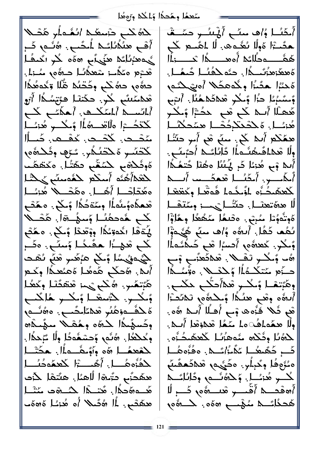محمد وهجاه والمحا وزوها

لِمَثْلُكُمْ حَتَمِيكُمُ ٱلْغُسَالِرِ هَٰتَسَلَأ أَهْبِ هلَكُلَلُـُـدْ لُمحَّـبٍ. هُنُـمٍ كَــرِ يَّ مَنْ مِنْ مِنْ مِنْ مِنْ مِنْكُمْ مِنْ مِنْ مِنْ مِنْ مِنْ هْـْبِمْ مَكْلَــز سْعَكْلُـلْ هـ. هُمْ سُــزلم. دەُە دەڭلى وڭتىگە قالا تۇھەگدا هْدَسَّسَ ۚ كُر. حكْنقا هرَّتْسُدًا أَرُو ألمائسك ألمئكك وأحكمته كحب كْتْݣُــْ: | هْلْاتْفــْهْلُا وُحْكْــو هُزْــْـا مَّدْت. كُدْت. كَفْتُ، ضَال ݣْدْسُر ەْݣْتْنْدُر. ئْرُفْ وْݣْدْهُور ەُوِثَكْتُوم كَمُقَمْ مَعْتُلْ. مَكْتَفَعَّت لمَعْدَا أَهُنَّه أَسْلَامٍ لِلْمُوسِنَى كَلَّامًا ەھۡخاۡڪَــا أُھُـــا. وهُڪَـــلا هُـٰٓئــَــا هَعِكُاهُ مِنَّهُ أَا وِمَتَّحُكُمُا وَّمَكُلْ هُ مَكْثَبِ كُم هُوحفُنُـا وُسهُــةا. هُصْــلا لِّتَوْمَا ائْدَوْنُكُا وِوْتَعَدَّا وُحَكِّ. مَعَّتَى كُمْ شَهْدُا هَقُبْدًا وَسَنَّعٍ. وَضَعَّ لْكُومَوْنَ مِنْكُمْ مِنْ مِكْمَةٍ شَيْءٍ مُنْكَمَّةٍ مَنْ مَنْ مَنْ الْمُدْرَجَةِ أَبْدَ. هَجَكُمْ هُوشًا وَعَبْعَدُا وِكْتُمْ هَبْتُمُسْ. ۞نْكُمْ يْحِيّْ شَقْفَتْنَا وِكْعَدْا ۇڭىر. خۇمغىل ۇڭىر ھاڭىم ەّْݣْݣُــەزەمُلُو ھْكامْلْمِكْـــو ، ەھُكْــەر وَحْسِبُمُا لِحَدَّهِ وِهُقَىلا سِيُمِيَّاتِهِ وِكْتْݣُا. شَنْمَ وَحَسْفُوطُ وِلَّا عُبْتَكُمْ!. للقعمُ للهُ وأَوُحفُ علَما بِمَحْتَا لِكُنُوهُــا. أَهُـــْتَ لَلْعِمُودُــا ههُجَنَّى حَبَّـهَا لُاهِئا. هِتَنقا ۖ جُوب هُـــوهُحِمَّا. هُتـــمَّا حَـْـــوْت مِّتْــا هَهُتُم ِ. لَمْ ا هُنَّسَلا أُه هُزْـُـا هُههَٰ۔

أَمكُنُــا وُافْ مئّب أَيْحَسُــو حَمَّـــةٌ هضَــٰٓ;ا هُوِلًا تُعْـَمِ هِ. لَا اهْــو كَـٰح هَهُـــــــــــه أن أه مســـــــهُ/ تـــــــــــزِيلُه ەَممَدَ مَدُسُــدًا . حَثَم حَدُسُــل صَـمُــل . هَدْبُرًا حَضَّرًا وِكُوعِكُمْ أَوتِيكُمْ وَّسْتَبْتُلْ دَٰٓا وَّسْكُو شَكْكَـمْعُتُلْ. ٱلتَبِ هُھِلًا أَبِي كُمْ هُمْ ۖ يَحُبّْ! وُيكْتُر هُنْسًا. هَ حَدْخَدْرُدُهْـــا همْحَكْسُــاُ همَكُم أَنه كُلِّ مِنْ شَيْ أَسِ حَتَّنَّا وِلًا مْحَاهُىعُنُـماُ! دَانَاسُــا اُحَبَـنَــى. أَ*لَ*مْ وَمِ هُـٰٓءَىٰٓا کُـۡ لِّکُنُا هِھُنٓا کُـۡتَـٰمُـٰٰٓهُا أَيكُمْـِيبِ. أَيكُنُــا قَدْهَـَــيب أَنـــد كْعفَمَدُّ;ُه لمُؤَمِنُها فُوشْا وٖكقشَا لْا هره تعني الشُّكْ، حَتَّلْتُكْمَتْ هُمَّا لِلْمُسْتَقْبَةِ ەُوتُووُتا مُرْبَى. وقْتَهُا مَنْعُعُا وِهَارْٓا لَعُم دُهَٰا. أَلَّهُ وَإِلَّا سَبِّ هُهُمْ وَإِ وَّىكُر. كَعَدَدُه أَصَبُرا هُم ضَكْتَمَلَّا هُ - وُلُك لَهُمْ لَهُمْ مُحْدَّنَبِ وَجِ حِنُّو مُتَكُمُّلُ وَلَحْكُمْ! وَقُمُكُمْ وهَبْتِهْا وُلْحُي هَدْأَحَتُكِ حَكْبٍ. |ٱللَّهُ٥ وِتَعَــرَ مَثَــدًا وَّــحَــدَّةُ٥ لَـمَنَّـدَـٰٓ;| هُم ثُلا فَثُوهِ وَمِم أُهلًا أَسْلا هُو. ولًا محمّدادُده منْ مُحَمّد شَدْوَمْداً أَسكَ. لِكْمُلُا وشُكْلُه مُدْعَبُرُ لِلْكَعِنْفُمِدُزُهِ . كَبِ حَقَىعُكُ عَذَّابُكُمْ. وقُنُوهُكُ ەمُؤەفَا وِكْبِلُر. ەكْنُى) ھْلاَكْمَقَىلُ كُــــو هُـٰٓئِــــا. وَكَــٰهُ نَــــم وِكَانُائــَــكَــا أهفَعُــــمْ أَقْمــــو هْنـــــوْهِ كَــــو لُل كُحدُكُ ـُمْ مُنْهُـبٍ 50%. كَــْ 50%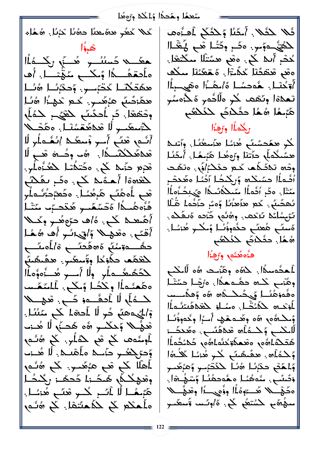محمد وهجاه والمحا وزوها

كَمَلًا كَعُبِ هِجَمَعْنَا حَجَّا كَبُرْاً. هُمَّاءُ <u>هُ. ا</u> هكم دُسلاً و هُـــَنٍ رَكَـــهُ ا ەلمَحقفُ \$ا وُكْب مَنْقُشَا. أَف ھقكتا كتربب وَحدَبُا ھُنَا ههَ;مَـْلَم هَ مُصَــرٍ. كَــم كَــهـُّا هُـُــا وِصْقَعْدَا. ثَمِ لَمَحْمَنَ ۖ كَعْيَى ۖ كَمُلَّهِ ڭسڭىب لْا قىد*ىخىقىئىل. ەڭتى*لا أَنَّــْمِ هْنَّــ أُســو وّْمعكَــدْ إِنْـَقْــٰمَلُو لَّا تَعِدْهُكُكْتُــدًا. ۞ وحُــة تَعب لَّا هْزِم حَنْمِ كُلِّ. وَحُتِمُهَا كَعُنُّوَلُمْ. لمقعوة الأمة مد كل ودّ سكتي ھَے ۔اُہھُنّے ھُبِھُنُـا ٖ. ہجُھرِّجزُنُـمارِ فُأَههُما ٱلْالْمُصَّى هَٰذَهَبُ مَّتْدَا أَهَّىعد كَبَّ. هُ/ف حرِّهِ هُسر وكملا أُقْبُ وهُدِيهِ وَإِنِّ رَبُّ أَهْلَ اللَّهُ مَا اللَّهُ وَأَهْلَ دۿٛ؎ۊٮٮؙڵ؋ۿڡؘڞڵ؋۩ڵؙڡٮٞٮ لْمُفَعَّم حَكَّوْكُمْ وَوُّسْعَكْسٍ. هَقَّيْقُتُمْ لْكُتُمَعَّـــه مُلْرٍ ۖ وِلَا أُمــــرٍ هُــــزُهوَّه َالْـ ەھْھئەماً وڭجا ۋىڭى. لْمَلْمَّصْب لِكُمَلَّى لَا أَدَهُّــوو كُـــى. شَهْـــلا وْالِيْحَمَعْ هُوَ لَا لَمُحْمَدْ لَكَمْ مَعْشَا. تَعَهُّمُ لَا يُحكَّسِ رَّهُ ۚ هُدَبَّى لَا هُـ: ـُأُومِنُوهـ، كُمْ هُمْ لِكُفُلُو. كُمْ هُنُـُمْ، وَحَرَجِهُمْ وَأَسَمَدَ مِأَهْلِيمَ. لَا هُــْمَ لَمِثَلًا كُمْ هُمْ مُبْعَضٍ. كُمْ هُنُمْ، وهمككم هَحَـۃا حُحمَۃً ركَحـُـا هَبْسُا لَا اْلَبِ كُلِّرِ هْنِّي هُنْلَا. ەلمىلى كى كەمشىھا. كى ھۇئى

ثُلا ۖ لأَثَلا ۚ ، أَمَثَلَا وَ لِأَشْكَى أَهَنُّوهَا لْحُقُّ وَمِن وَكُنْ وَكُنُا هُم لِمُقْتَلِ حُثَّرِ أَبِهِ كُلِّ. وقَع هِمُتْلَا مِكْتَعْلَ. ەھْم ھْتْقَدُّلَا كَذُبُرَا. ەْمْھَكْنْلا مىڭگ أُوِّكُنْسَا. هُوَجِسًا وُٱمِجُنَّا وَهِي رَأَا تَعْكَاهُا وِنُتَّفَفَ كُرْ وَلَاَثُمْرِ هَٰكُوْمِنُر هَبْمُا هُمُا حثُلاَكُم لمُلْعَبُم ربكمأا وزجزا كُو هِمُحِسَّنٌ هُزْدًا هزَّمهُنَّا. وَأَسْلا هسَّكُملُ حَآتَنَا وَرُوهُـا هَبُـمُـا. أَحَصُـُا وِدْه تْݣُكْمُمْ كْبْعْ حَنْكَرْاُوْلْي هْتْكْتْتْ ٱثَـٰءلُمُ حَسۡنَـٰدُ وۡ ۡرَبُّـٰدَٰ ۖ ٱذۡنَٰـٰ ۖ ہَ مَحۡدَثَـٰ ۖ مَثَلَ وَمَ أَثَوْمًا مَبْكِلُائِمَا وَيُبِحُرْهُمْ الْمَرْجَعَةِ لُعجَبٌ . كَعِ هزَهزُنُا وَءِءٌ جَزَجُها شَّال ىَّوْسُلْكُمْ نَاتَحْفَ. وْهُنُّو كَنْزَهْ هَ نَفْكُمْ. ەُمىگ ھُھگى ھچُووُكُل وُمكْسِ ھُوَعُلَ. هُمُلَ. حثَكَاكُم حَنُكَفَمِ ابْعَوْه مِنْكَمْ وَأَوْ أهدُّه سمًّا. لهذه وهُنَّت هُه لَّا لَكَب وهُزَىبِ كَــرَه حفَــمهمُّا. ورُضَــا حمّثـْـا وَهُوَوْهُنُسا فِي جُمْلِكُمْ وَهُوَ وَهِ وَهُوَ حَسَنَ مِنْ لَمْوْتَدِ وَالْكَنْسَارِ مِنْسَارِ حَقْدَهُ مَتْسَمَلُ وَّىكِنَّةَى وَهُدَ وَهُدَهُ فَيْ أَسْرًا وِخُدَوِفُكَ لْلَّكْبُ وَكَــةُلُمْ شَكَفَّتُبٍ. هَقُدَكْــ; الْمَشْدُمُهُمْ وَشَعَمُوْدُشُمْ وَشَاشُوهُ وَشَاءَ الْمَنْحُومُ وَحْدُمُاهِ. هِقَىقَىتَ كُلِّ هَٰذِا لَكُلُّهُا وَلَمَّتَى حَدَّبُنَا هُنَا كَكْتَبْبِ وَهُبُمْسِ .وَكَيْتُبِ . مُدَهُمُا مِحْدَدِمُنُا وَيَتَجُدُوا . وَدَّهْكُمْ مُسْتَوِوُماً وَوُوْمِيْسَاً وِقَوْمَ كُلُّ مِدْهُمْ كَمُتَعُمْ كُلِّ. ةَ/وِتَمِتْ وَمُتَعَمِّر